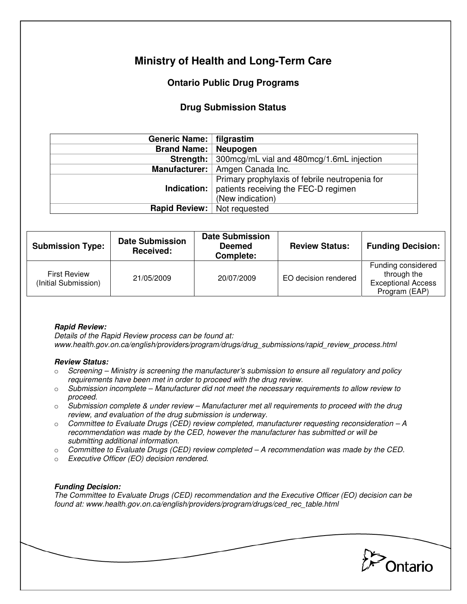# **Ministry of Health and Long-Term Care**

# **Ontario Public Drug Programs**

## **Drug Submission Status**

| Generic Name:   filgrastim         |                                                                                                                               |  |  |
|------------------------------------|-------------------------------------------------------------------------------------------------------------------------------|--|--|
| <b>Brand Name:   Neupogen</b>      |                                                                                                                               |  |  |
| Strength:                          | 300mcg/mL vial and 480mcg/1.6mL injection                                                                                     |  |  |
|                                    | Manufacturer:   Amgen Canada Inc.                                                                                             |  |  |
|                                    | Primary prophylaxis of febrile neutropenia for<br><b>Indication:</b> patients receiving the FEC-D regimen<br>(New indication) |  |  |
| <b>Rapid Review:</b> Not requested |                                                                                                                               |  |  |

| <b>Submission Type:</b>                     | <b>Date Submission</b><br>Received: | <b>Date Submission</b><br><b>Deemed</b><br>Complete: | <b>Review Status:</b> | <b>Funding Decision:</b>                                                        |
|---------------------------------------------|-------------------------------------|------------------------------------------------------|-----------------------|---------------------------------------------------------------------------------|
| <b>First Review</b><br>(Initial Submission) | 21/05/2009                          | 20/07/2009                                           | EO decision rendered  | Funding considered<br>through the<br><b>Exceptional Access</b><br>Program (EAP) |

### **Rapid Review:**

Details of the Rapid Review process can be found at: www.health.gov.on.ca/english/providers/program/drugs/drug\_submissions/rapid\_review\_process.html

### **Review Status:**

- $\circ$  Screening Ministry is screening the manufacturer's submission to ensure all regulatory and policy requirements have been met in order to proceed with the drug review.
- $\circ$  Submission incomplete Manufacturer did not meet the necessary requirements to allow review to proceed.
- $\circ$  Submission complete & under review Manufacturer met all requirements to proceed with the drug review, and evaluation of the drug submission is underway.
- $\circ$  Committee to Evaluate Drugs (CED) review completed, manufacturer requesting reconsideration A recommendation was made by the CED, however the manufacturer has submitted or will be submitting additional information.
- $\circ$  Committee to Evaluate Drugs (CED) review completed  $-A$  recommendation was made by the CED.
- o Executive Officer (EO) decision rendered.

### **Funding Decision:**

The Committee to Evaluate Drugs (CED) recommendation and the Executive Officer (EO) decision can be found at: www.health.gov.on.ca/english/providers/program/drugs/ced\_rec\_table.html